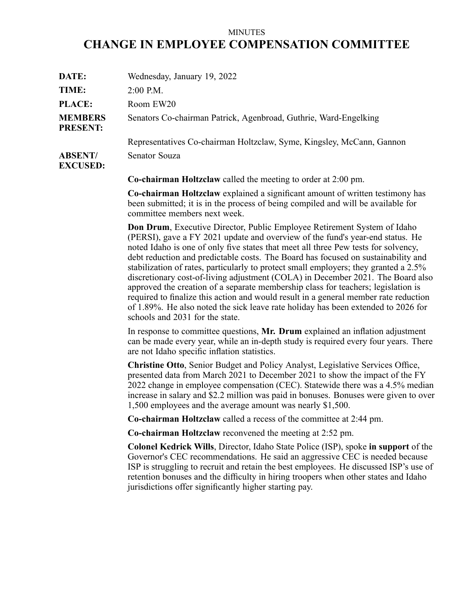## MINUTES **CHANGE IN EMPLOYEE COMPENSATION COMMITTEE**

| DATE:                             | Wednesday, January 19, 2022                                           |
|-----------------------------------|-----------------------------------------------------------------------|
| TIME:                             | $2:00$ P.M.                                                           |
| <b>PLACE:</b>                     | Room EW20                                                             |
| <b>MEMBERS</b><br><b>PRESENT:</b> | Senators Co-chairman Patrick, Agenbroad, Guthrie, Ward-Engelking      |
|                                   | Representatives Co-chairman Holtzclaw, Syme, Kingsley, McCann, Gannon |
| <b>ABSENT/</b><br><b>EXCUSED:</b> | Senator Souza                                                         |

**Co-chairman Holtzclaw** called the meeting to order at 2:00 pm.

**Co-chairman Holtzclaw** explained <sup>a</sup> significant amount of written testimony has been submitted; it is in the process of being compiled and will be available for committee members next week.

**Don Drum**, Executive Director, Public Employee Retirement System of Idaho (PERSI), gave <sup>a</sup> FY 2021 update and overview of the fund's year-end status. He noted Idaho is one of only five states that meet all three Pew tests for solvency, debt reduction and predictable costs. The Board has focused on sustainability and stabilization of rates, particularly to protect small employers; they granted <sup>a</sup> 2.5% discretionary cost-of-living adjustment (COLA) in December 2021. The Board also approved the creation of <sup>a</sup> separate membership class for teachers; legislation is required to finalize this action and would result in <sup>a</sup> general member rate reduction of 1.89%. He also noted the sick leave rate holiday has been extended to 2026 for schools and 2031 for the state.

In response to committee questions, **Mr. Drum** explained an inflation adjustment can be made every year, while an in-depth study is required every four years. There are not Idaho specific inflation statistics.

**Christine Otto**, Senior Budget and Policy Analyst, Legislative Services Office, presented data from March 2021 to December 2021 to show the impact of the FY 2022 change in employee compensation (CEC). Statewide there was <sup>a</sup> 4.5% median increase in salary and \$2.2 million was paid in bonuses. Bonuses were given to over 1,500 employees and the average amount was nearly \$1,500.

**Co-chairman Holtzclaw** called <sup>a</sup> recess of the committee at 2:44 pm.

**Co-chairman Holtzclaw** reconvened the meeting at 2:52 pm.

**Colonel Kedrick Wills**, Director, Idaho State Police (ISP), spoke **in suppor<sup>t</sup>** of the Governor's CEC recommendations. He said an aggressive CEC is needed because ISP is struggling to recruit and retain the best employees. He discussed ISP's use of retention bonuses and the difficulty in hiring troopers when other states and Idaho jurisdictions offer significantly higher starting pay.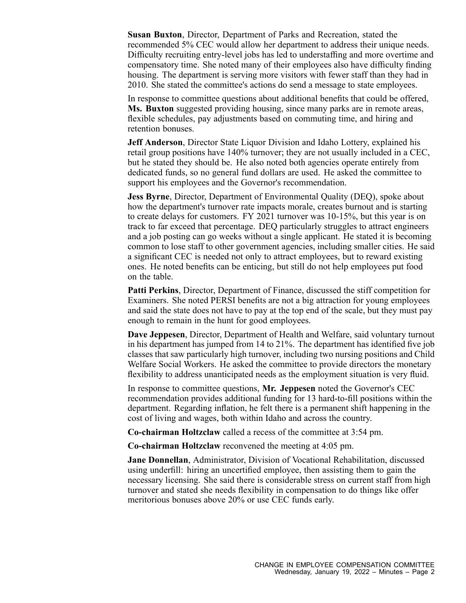**Susan Buxton**, Director, Department of Parks and Recreation, stated the recommended 5% CEC would allow her department to address their unique needs. Difficulty recruiting entry-level jobs has led to understaffing and more overtime and compensatory time. She noted many of their employees also have difficulty finding housing. The department is serving more visitors with fewer staff than they had in 2010. She stated the committee's actions do send <sup>a</sup> message to state employees.

In response to committee questions about additional benefits that could be offered, **Ms. Buxton** suggested providing housing, since many parks are in remote areas, flexible schedules, pay adjustments based on commuting time, and hiring and retention bonuses.

**Jeff Anderson**, Director State Liquor Division and Idaho Lottery, explained his retail group positions have 140% turnover; they are not usually included in <sup>a</sup> CEC, but he stated they should be. He also noted both agencies operate entirely from dedicated funds, so no general fund dollars are used. He asked the committee to suppor<sup>t</sup> his employees and the Governor's recommendation.

**Jess Byrne**, Director, Department of Environmental Quality (DEQ), spoke about how the department's turnover rate impacts morale, creates burnout and is starting to create delays for customers. FY 2021 turnover was 10-15%, but this year is on track to far exceed that percentage. DEQ particularly struggles to attract engineers and <sup>a</sup> job posting can go weeks without <sup>a</sup> single applicant. He stated it is becoming common to lose staff to other governmen<sup>t</sup> agencies, including smaller cities. He said <sup>a</sup> significant CEC is needed not only to attract employees, but to reward existing ones. He noted benefits can be enticing, but still do not help employees pu<sup>t</sup> food on the table.

**Patti Perkins**, Director, Department of Finance, discussed the stiff competition for Examiners. She noted PERSI benefits are not <sup>a</sup> big attraction for young employees and said the state does not have to pay at the top end of the scale, but they must pay enough to remain in the hunt for good employees.

**Dave Jeppesen**, Director, Department of Health and Welfare, said voluntary turnout in his department has jumped from 14 to 21%. The department has identified five job classes that saw particularly high turnover, including two nursing positions and Child Welfare Social Workers. He asked the committee to provide directors the monetary flexibility to address unanticipated needs as the employment situation is very fluid.

In response to committee questions, **Mr. Jeppesen** noted the Governor's CEC recommendation provides additional funding for 13 hard-to-fill positions within the department. Regarding inflation, he felt there is <sup>a</sup> permanen<sup>t</sup> shift happening in the cost of living and wages, both within Idaho and across the country.

**Co-chairman Holtzclaw** called <sup>a</sup> recess of the committee at 3:54 pm.

**Co-chairman Holtzclaw** reconvened the meeting at 4:05 pm.

**Jane Donnellan**, Administrator, Division of Vocational Rehabilitation, discussed using underfill: hiring an uncertified employee, then assisting them to gain the necessary licensing. She said there is considerable stress on current staff from high turnover and stated she needs flexibility in compensation to do things like offer meritorious bonuses above 20% or use CEC funds early.